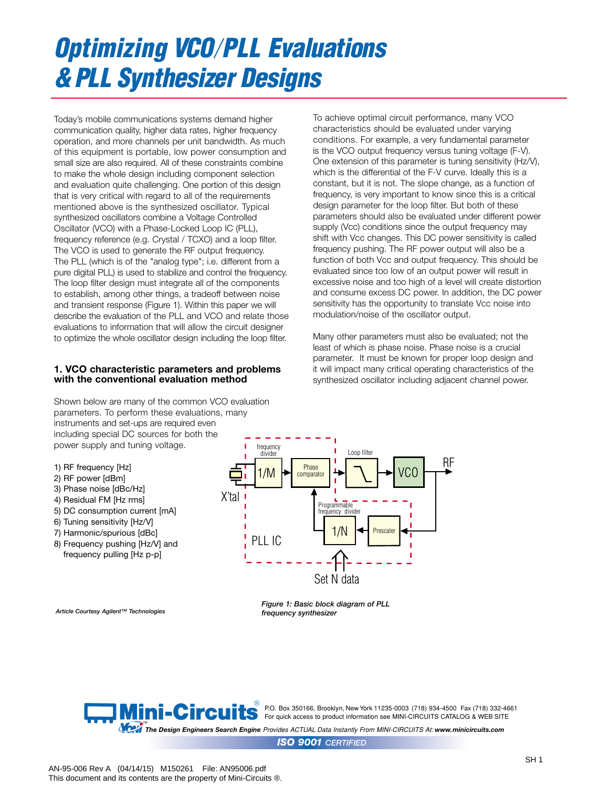# *Optimizing VCO PLL Evaluations & PLL Synthesizer Designs*

Today's mobile communications systems demand higher communication quality, higher data rates, higher frequency operation, and more channels per unit bandwidth. As much of this equipment is portable, low power consumption and small size are also required. All of these constraints combine to make the whole design including component selection and evaluation quite challenging. One portion of this design that is very critical with regard to all of the requirements mentioned above is the synthesized oscillator. Typical synthesized oscillators combine a Voltage Controlled Oscillator (VCO) with a Phase-Locked Loop IC (PLL), frequency reference (e.g. Crystal / TCXO) and a loop filter. The VCO is used to generate the RF output frequency. The PLL (which is of the "analog type"; i.e. different from a pure digital PLL) is used to stabilize and control the frequency. The loop filter design must integrate all of the components to establish, among other things, a tradeoff between noise and transient response (Figure 1). Within this paper we will describe the evaluation of the PLL and VCO and relate those evaluations to information that will allow the circuit designer to optimize the whole oscillator design including the loop filter.

## **1. VCO characteristic parameters and problems with the conventional evaluation method**

Shown below are many of the common VCO evaluation parameters. To perform these evaluations, many instruments and set-ups are required even including special DC sources for both the power supply and tuning voltage.

- 1) RF frequency [Hz]
- 2) RF power [dBm]
- 3) Phase noise [dBc/Hz]
- 4) Residual FM [Hz rms]
- 5) DC consumption current [mA]
- 6) Tuning sensitivity [Hz/V]
- 7) Harmonic/spurious [dBc]
- 8) Frequency pushing [Hz/V] and frequency pulling [Hz p-p]

Set N data X'tal **CO** PLL IC T<sup>1/N</sup> 1/M RF Prescale Loop filter **Programmable** frequency divide Phase comparator frequency divider

*Article Courtesy Agilent™ Technologies*



characteristics should be evaluated under varying conditions. For example, a very fundamental parameter is the VCO output frequency versus tuning voltage (F-V). One extension of this parameter is tuning sensitivity (Hz/V), which is the differential of the F-V curve. Ideally this is a constant, but it is not. The slope change, as a function of frequency, is very important to know since this is a critical design parameter for the loop filter. But both of these parameters should also be evaluated under different power supply (Vcc) conditions since the output frequency may shift with Vcc changes. This DC power sensitivity is called frequency pushing. The RF power output will also be a function of both Vcc and output frequency. This should be evaluated since too low of an output power will result in excessive noise and too high of a level will create distortion and consume excess DC power. In addition, the DC power sensitivity has the opportunity to translate Vcc noise into modulation/noise of the oscillator output.

To achieve optimal circuit performance, many VCO

Many other parameters must also be evaluated; not the least of which is phase noise. Phase noise is a crucial parameter. It must be known for proper loop design and it will impact many critical operating characteristics of the synthesized oscillator including adjacent channel power.

*Figure 1: Basic block diagram of PLL frequency synthesizer*

®<br>● P.O. Box 350166, Brooklyn, New York 11235-0003(718) 934-4500 Fax (718) 332-4661 **FOR THE STATE OF A For quick access to product information see MINI-CIRCUITS CATALOG & WEB SITE** 

*The Design Engineers Search Engine Provides ACTUAL Data Instantly From MINI-CIRCUITS At: www.minicircuits.com*

*ISO 9001 CERTIFIED*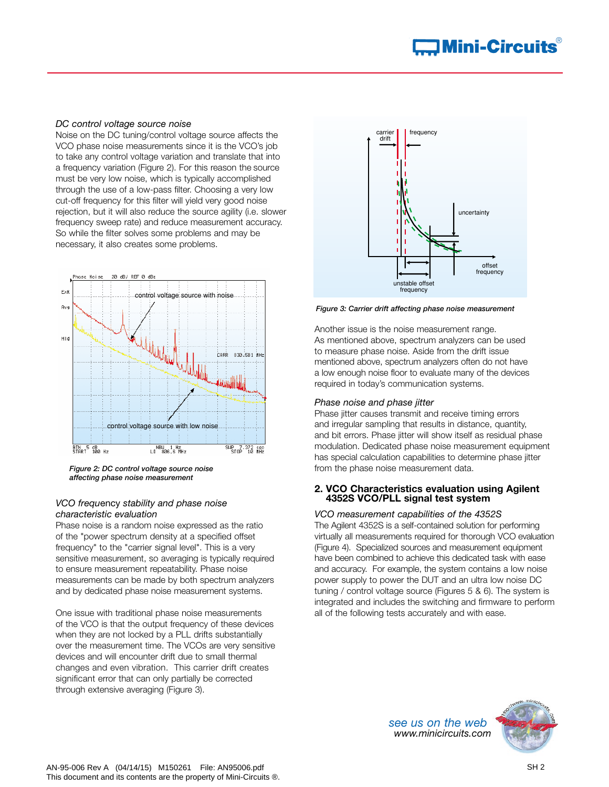#### *DC control voltage source noise*

Noise on the DC tuning/control voltage source affects the VCO phase noise measurements since it is the VCO's job to take any control voltage variation and translate that into a frequency variation (Figure 2). For this reason the source must be very low noise, which is typically accomplished through the use of a low-pass filter. Choosing a very low cut-off frequency for this filter will yield very good noise rejection, but it will also reduce the source agility (i.e. slower frequency sweep rate) and reduce measurement accuracy. So while the filter solves some problems and may be necessary, it also creates some problems.



*Figure 2: DC control voltage source noise affecting phase noise measurement*

#### *VCO frequ*ency *stability and phase noise characteristic evaluation*

Phase noise is a random noise expressed as the ratio of the "power spectrum density at a specified offset frequency" to the "carrier signal level". This is a very sensitive measurement, so averaging is typically required to ensure measurement repeatability. Phase noise measurements can be made by both spectrum analyzers and by dedicated phase noise measurement systems.

One issue with traditional phase noise measurements of the VCO is that the output frequency of these devices when they are not locked by a PLL drifts substantially over the measurement time. The VCOs are very sensitive devices and will encounter drift due to small thermal changes and even vibration. This carrier drift creates significant error that can only partially be corrected through extensive averaging (Figure 3).



*Figure 3: Carrier drift affecting phase noise measurement*

Another issue is the noise measurement range. As mentioned above, spectrum analyzers can be used to measure phase noise. Aside from the drift issue mentioned above, spectrum analyzers often do not have a low enough noise floor to evaluate many of the devices required in today's communication systems.

#### *Phase noise and phase jitter*

Phase jitter causes transmit and receive timing errors and irregular sampling that results in distance, quantity, and bit errors. Phase jitter will show itself as residual phase modulation. Dedicated phase noise measurement equipment has special calculation capabilities to determine phase jitter from the phase noise measurement data.

#### **2. VCO Characteristics evaluation using Agilent 4352S VCO/PLL signal test system**

*VCO measurement capabilities of the 4352S* The Agilent 4352S is a self-contained solution for performing virtually all measurements required for thorough VCO evaluation (Figure 4). Specialized sources and measurement equipment have been combined to achieve this dedicated task with ease and accuracy. For example, the system contains a low noise power supply to power the DUT and an ultra low noise DC tuning / control voltage source (Figures 5 & 6). The system is integrated and includes the switching and firmware to perform all of the following tests accurately and with ease.

> *see us on the web www.minicircuits.com*

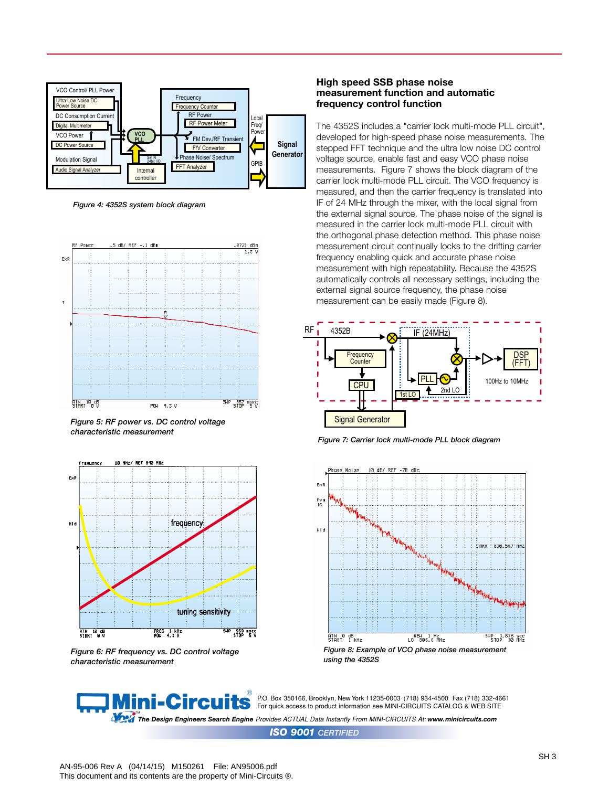

*Figure 4: 4352S system block diagram*



*Figure 5: RF power vs. DC control voltage characteristic measurement*



*Figure 6: RF frequency vs. DC control voltage characteristic measurement*

#### **High speed SSB phase noise measurement function and automatic frequency control function**

The 4352S includes a "carrier lock multi-mode PLL circuit", developed for high-speed phase noise measurements. The stepped FFT technique and the ultra low noise DC control voltage source, enable fast and easy VCO phase noise measurements. Figure 7 shows the block diagram of the carrier lock multi-mode PLL circuit. The VCO frequency is measured, and then the carrier frequency is translated into IF of 24 MHz through the mixer, with the local signal from the external signal source. The phase noise of the signal is measured in the carrier lock multi-mode PLL circuit with the orthogonal phase detection method. This phase noise measurement circuit continually locks to the drifting carrier frequency enabling quick and accurate phase noise measurement with high repeatability. Because the 4352S automatically controls all necessary settings, including the external signal source frequency, the phase noise measurement can be easily made (Figure 8).



*Figure 7: Carrier lock multi-mode PLL block diagram*



**Mini-Circuits** P.O. Box 350166, Brooklyn, New York 11235-0003 (718) 934-4500 Fax (718) 332-4661 For quick access to product information see MINI-CIRCUITS CATALOG & WEB SITE

™<br>The Design Engineers Search Engine Provides ACTUAL Data Instantly From MINI-CIRCUITS At: www.minicircuits.com

*ISO 9001 CERTIFIED*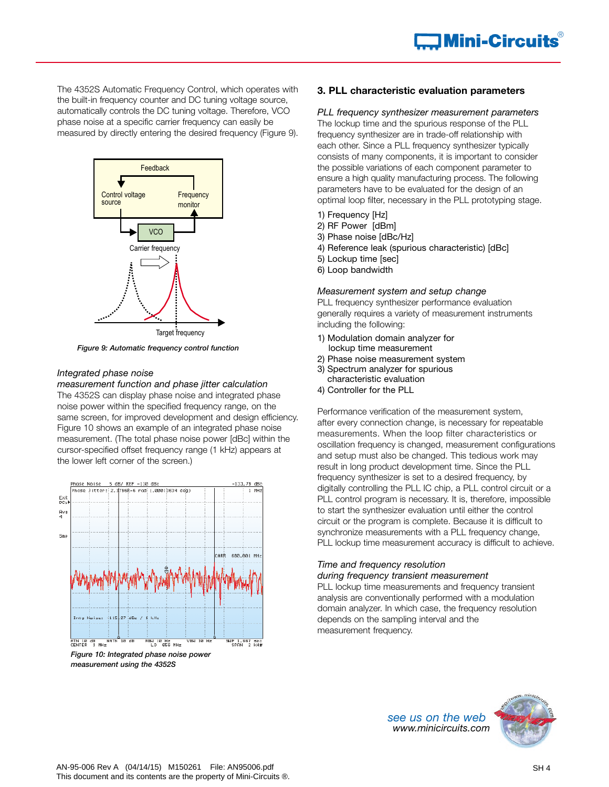The 4352S Automatic Frequency Control, which operates with the built-in frequency counter and DC tuning voltage source, automatically controls the DC tuning voltage. Therefore, VCO phase noise at a specific carrier frequency can easily be measured by directly entering the desired frequency (Figure 9).



*Figure 9: Automatic frequency control function*

#### *Integrated phase noise*

*measurement function and phase jitter calculation* The 4352S can display phase noise and integrated phase noise power within the specified frequency range, on the same screen, for improved development and design efficiency. Figure 10 shows an example of an integrated phase noise measurement. (The total phase noise power [dBc] within the cursor-specified offset frequency range (1 kHz) appears at the lower left corner of the screen.)



*measurement using the 4352S*

# **3. PLL characteristic evaluation parameters**

*PLL frequency synthesizer measurement parameters* The lockup time and the spurious response of the PLL frequency synthesizer are in trade-off relationship with each other. Since a PLL frequency synthesizer typically consists of many components, it is important to consider the possible variations of each component parameter to ensure a high quality manufacturing process. The following parameters have to be evaluated for the design of an optimal loop filter, necessary in the PLL prototyping stage.

- 1) Frequency [Hz]
- 2) RF Power [dBm]
- 3) Phase noise [dBc/Hz]
- 4) Reference leak (spurious characteristic) [dBc]
- 5) Lockup time [sec]
- 6) Loop bandwidth

#### *Measurement system and setup change*

PLL frequency synthesizer performance evaluation generally requires a variety of measurement instruments including the following:

- 1) Modulation domain analyzer for lockup time measurement
- 2) Phase noise measurement system
- 3) Spectrum analyzer for spurious
- characteristic evaluation
- 4) Controller for the PLL

Performance verification of the measurement system, after every connection change, is necessary for repeatable measurements. When the loop filter characteristics or oscillation frequency is changed, measurement configurations and setup must also be changed. This tedious work may result in long product development time. Since the PLL frequency synthesizer is set to a desired frequency, by digitally controlling the PLL IC chip, a PLL control circuit or a PLL control program is necessary. It is, therefore, impossible to start the synthesizer evaluation until either the control circuit or the program is complete. Because it is difficult to synchronize measurements with a PLL frequency change, PLL lockup time measurement accuracy is difficult to achieve.

# *Time and frequency resolution*

### *during frequency transient measurement*

PLL lockup time measurements and frequency transient analysis are conventionally performed with a modulation domain analyzer. In which case, the frequency resolution depends on the sampling interval and the measurement frequency.

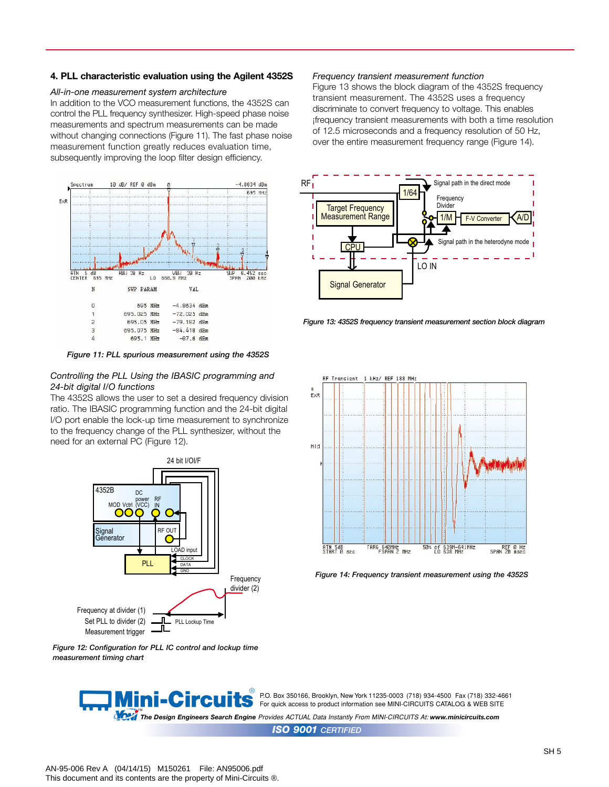#### **4. PLL characteristic evaluation using the Agilent 4352S**

#### *All-in-one measurement system architecture*

In addition to the VCO measurement functions, the 4352S can control the PLL frequency synthesizer. High-speed phase noise measurements and spectrum measurements can be made without changing connections (Figure 11). The fast phase noise measurement function greatly reduces evaluation time, subsequently improving the loop filter design efficiency.



*Figure 11: PLL spurious measurement using the 4352S*

#### *Controlling the PLL Using the IBASIC programming and 24-bit digital I/O functions*

The 4352S allows the user to set a desired frequency division ratio. The IBASIC programming function and the 24-bit digital I/O port enable the lock-up time measurement to synchronize to the frequency change of the PLL synthesizer, without the need for an external PC (Figure 12).



*Figure 12: Configuration for PLL IC control and lockup time measurement timing chart*

#### *Frequency transient measurement function*

Figure 13 shows the block diagram of the 4352S frequency transient measurement. The 4352S uses a frequency discriminate to convert frequency to voltage. This enables ¡frequency transient measurements with both a time resolution of 12.5 microseconds and a frequency resolution of 50 Hz, over the entire measurement frequency range (Figure 14).



*Figure 13: 4352S frequency transient measurement section block diagram*



*Figure 14: Frequency transient measurement using the 4352S* 

® ni-Circui P.O. Box 350166, Brooklyn, New York 11235-0003 (718) 934-4500 Fax (718) 332-4661 For quick access to product information see MINI-CIRCUITS CATALOG & WEB SITE

™<br>The Design Engineers Search Engine Provides ACTUAL Data Instantly From MINI-CIRCUITS At: www.minicircuits.com

*ISO 9001 CERTIFIED*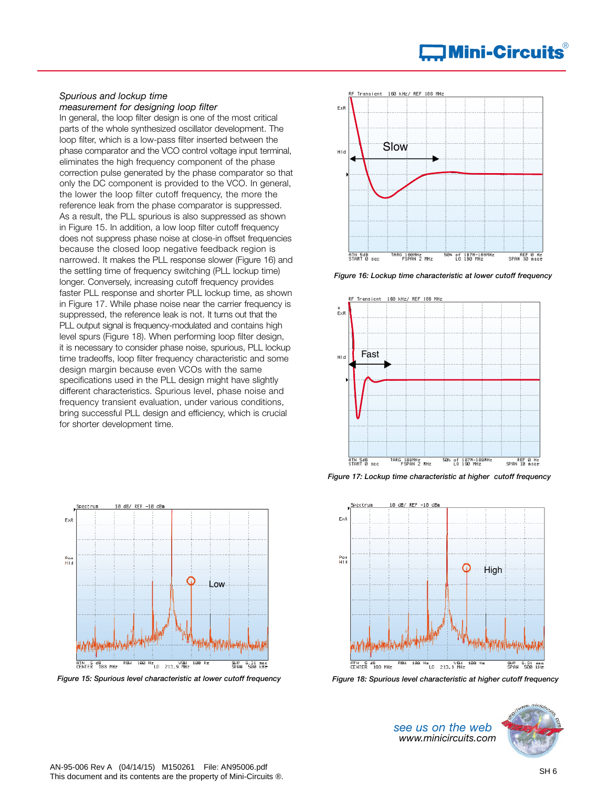#### *Spurious and lockup time measurement for designing loop filter*

In general, the loop filter design is one of the most critical parts of the whole synthesized oscillator development. The loop filter, which is a low-pass filter inserted between the phase comparator and the VCO control voltage input terminal, eliminates the high frequency component of the phase correction pulse generated by the phase comparator so that only the DC component is provided to the VCO. In general, the lower the loop filter cutoff frequency, the more the reference leak from the phase comparator is suppressed. As a result, the PLL spurious is also suppressed as shown in Figure 15. In addition, a low loop filter cutoff frequency does not suppress phase noise at close-in offset frequencies because the closed loop negative feedback region is narrowed. It makes the PLL response slower (Figure 16) and the settling time of frequency switching (PLL lockup time) longer. Conversely, increasing cutoff frequency provides faster PLL response and shorter PLL lockup time, as shown in Figure 17. While phase noise near the carrier frequency is suppressed, the reference leak is not. It turns out that the PLL output signal is frequency-modulated and contains high level spurs (Figure 18). When performing loop filter design, it is necessary to consider phase noise, spurious, PLL lockup time tradeoffs, loop filter frequency characteristic and some design margin because even VCOs with the same specifications used in the PLL design might have slightly different characteristics. Spurious level, phase noise and frequency transient evaluation, under various conditions, bring successful PLL design and efficiency, which is crucial for shorter development time.



*Figure 15: Spurious level characteristic at lower cutoff frequency* 



*Figure 16: Lockup time characteristic at lower cutoff frequency* 



*Figure 17: Lockup time characteristic at higher cutoff frequency* 



*Figure 18: Spurious level characteristic at higher cutoff frequency*

*see us on the web www.minicircuits.com*